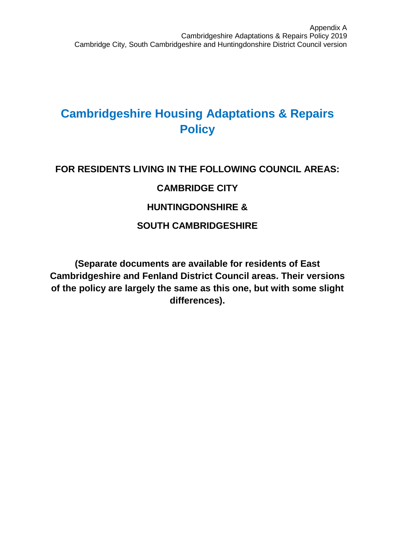## **Cambridgeshire Housing Adaptations & Repairs Policy**

# **FOR RESIDENTS LIVING IN THE FOLLOWING COUNCIL AREAS: CAMBRIDGE CITY HUNTINGDONSHIRE & SOUTH CAMBRIDGESHIRE**

**(Separate documents are available for residents of East Cambridgeshire and Fenland District Council areas. Their versions of the policy are largely the same as this one, but with some slight differences).**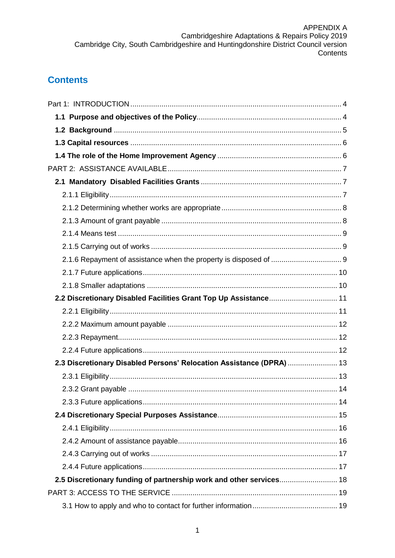## **Contents**

| 2.2 Discretionary Disabled Facilities Grant Top Up Assistance 11     |  |
|----------------------------------------------------------------------|--|
|                                                                      |  |
|                                                                      |  |
|                                                                      |  |
|                                                                      |  |
| 2.3 Discretionary Disabled Persons' Relocation Assistance (DPRA)  13 |  |
|                                                                      |  |
|                                                                      |  |
|                                                                      |  |
|                                                                      |  |
|                                                                      |  |
|                                                                      |  |
|                                                                      |  |
|                                                                      |  |
| 2.5 Discretionary funding of partnership work and other services 18  |  |
|                                                                      |  |
|                                                                      |  |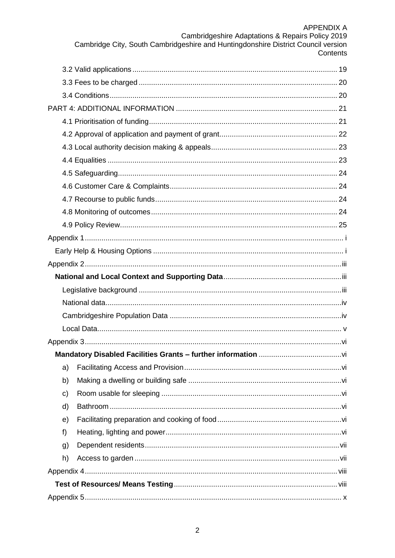### APPFNDIX A

| AFFLIVUIA A                                                                       |  |
|-----------------------------------------------------------------------------------|--|
| Cambridgeshire Adaptations & Repairs Policy 2019                                  |  |
| Cambridge City, South Cambridgeshire and Huntingdonshire District Council version |  |
| Contents                                                                          |  |

| a) |  |
|----|--|
| b) |  |
| c) |  |
| d) |  |
| e) |  |
| f) |  |
| g) |  |
| h) |  |
|    |  |
|    |  |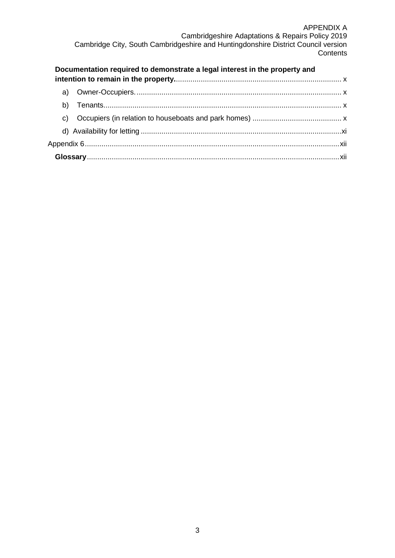#### APPENDIX A Cambridgeshire Adaptations & Repairs Policy 2019 Cambridge City, South Cambridgeshire and Huntingdonshire District Council version **Contents**

|    | Documentation required to demonstrate a legal interest in the property and |  |
|----|----------------------------------------------------------------------------|--|
|    |                                                                            |  |
|    |                                                                            |  |
|    |                                                                            |  |
| C) |                                                                            |  |
|    |                                                                            |  |
|    |                                                                            |  |
|    |                                                                            |  |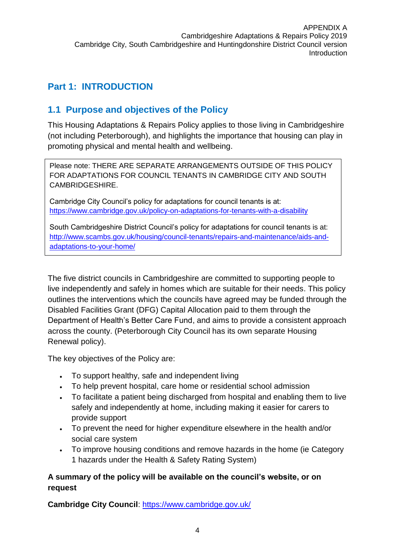## <span id="page-4-0"></span>**Part 1: INTRODUCTION**

### <span id="page-4-1"></span>**1.1 Purpose and objectives of the Policy**

This Housing Adaptations & Repairs Policy applies to those living in Cambridgeshire (not including Peterborough), and highlights the importance that housing can play in promoting physical and mental health and wellbeing.

Please note: THERE ARE SEPARATE ARRANGEMENTS OUTSIDE OF THIS POLICY FOR ADAPTATIONS FOR COUNCIL TENANTS IN CAMBRIDGE CITY AND SOUTH CAMBRIDGESHIRE.

Cambridge City Council's policy for adaptations for council tenants is at: <https://www.cambridge.gov.uk/policy-on-adaptations-for-tenants-with-a-disability>

South Cambridgeshire District Council's policy for adaptations for council tenants is at: [http://www.scambs.gov.uk/housing/council-tenants/repairs-and-maintenance/aids-and](http://www.scambs.gov.uk/housing/council-tenants/repairs-and-maintenance/aids-and-adaptations-to-your-home/)[adaptations-to-your-home/](http://www.scambs.gov.uk/housing/council-tenants/repairs-and-maintenance/aids-and-adaptations-to-your-home/)

The five district councils in Cambridgeshire are committed to supporting people to live independently and safely in homes which are suitable for their needs. This policy outlines the interventions which the councils have agreed may be funded through the Disabled Facilities Grant (DFG) Capital Allocation paid to them through the Department of Health's Better Care Fund, and aims to provide a consistent approach across the county. (Peterborough City Council has its own separate Housing Renewal policy).

The key objectives of the Policy are:

- To support healthy, safe and independent living
- To help prevent hospital, care home or residential school admission
- To facilitate a patient being discharged from hospital and enabling them to live safely and independently at home, including making it easier for carers to provide support
- To prevent the need for higher expenditure elsewhere in the health and/or social care system
- To improve housing conditions and remove hazards in the home (ie Category 1 hazards under the Health & Safety Rating System)

### **A summary of the policy will be available on the council's website, or on request**

**Cambridge City Council**:<https://www.cambridge.gov.uk/>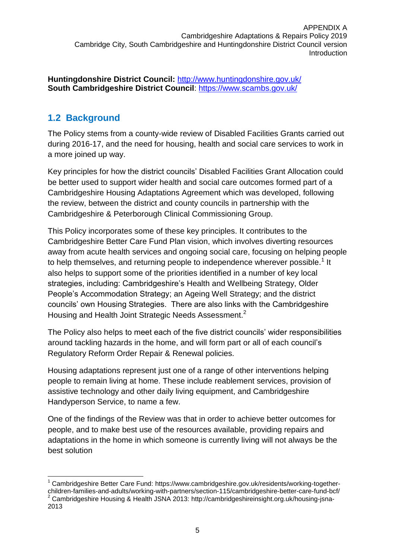**Huntingdonshire District Council:** <http://www.huntingdonshire.gov.uk/> **South Cambridgeshire District Council**: <https://www.scambs.gov.uk/>

## <span id="page-5-0"></span>**1.2 Background**

The Policy stems from a county-wide review of Disabled Facilities Grants carried out during 2016-17, and the need for housing, health and social care services to work in a more joined up way.

Key principles for how the district councils' Disabled Facilities Grant Allocation could be better used to support wider health and social care outcomes formed part of a Cambridgeshire Housing Adaptations Agreement which was developed, following the review, between the district and county councils in partnership with the Cambridgeshire & Peterborough Clinical Commissioning Group.

This Policy incorporates some of these key principles. It contributes to the Cambridgeshire Better Care Fund Plan vision, which involves diverting resources away from acute health services and ongoing social care, focusing on helping people to help themselves, and returning people to independence wherever possible.<sup>1</sup> It also helps to support some of the priorities identified in a number of key local strategies, including: Cambridgeshire's Health and Wellbeing Strategy, Older People's Accommodation Strategy; an Ageing Well Strategy; and the district councils' own Housing Strategies. There are also links with the Cambridgeshire Housing and Health Joint Strategic Needs Assessment.<sup>2</sup>

The Policy also helps to meet each of the five district councils' wider responsibilities around tackling hazards in the home, and will form part or all of each council's Regulatory Reform Order Repair & Renewal policies.

Housing adaptations represent just one of a range of other interventions helping people to remain living at home. These include reablement services, provision of assistive technology and other daily living equipment, and Cambridgeshire Handyperson Service, to name a few.

One of the findings of the Review was that in order to achieve better outcomes for people, and to make best use of the resources available, providing repairs and adaptations in the home in which someone is currently living will not always be the best solution

<sup>-</sup><sup>1</sup> Cambridgeshire Better Care Fund: https://www.cambridgeshire.gov.uk/residents/working-togetherchildren-families-and-adults/working-with-partners/section-115/cambridgeshire-better-care-fund-bcf/ <sup>2</sup> Cambridgeshire Housing & Health JSNA 2013: http://cambridgeshireinsight.org.uk/housing-jsna-2013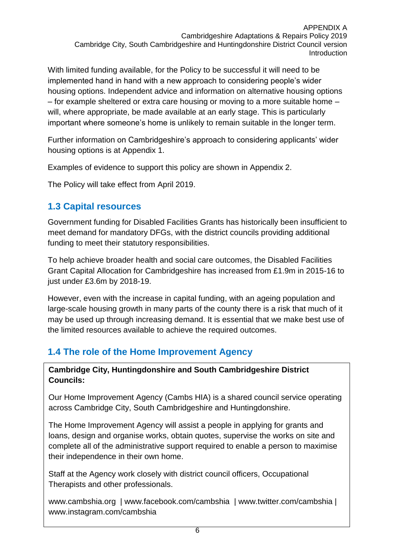With limited funding available, for the Policy to be successful it will need to be implemented hand in hand with a new approach to considering people's wider housing options. Independent advice and information on alternative housing options – for example sheltered or extra care housing or moving to a more suitable home – will, where appropriate, be made available at an early stage. This is particularly important where someone's home is unlikely to remain suitable in the longer term.

Further information on Cambridgeshire's approach to considering applicants' wider housing options is at Appendix 1.

Examples of evidence to support this policy are shown in Appendix 2.

The Policy will take effect from April 2019.

### <span id="page-6-0"></span>**1.3 Capital resources**

Government funding for Disabled Facilities Grants has historically been insufficient to meet demand for mandatory DFGs, with the district councils providing additional funding to meet their statutory responsibilities.

To help achieve broader health and social care outcomes, the Disabled Facilities Grant Capital Allocation for Cambridgeshire has increased from £1.9m in 2015-16 to just under £3.6m by 2018-19.

However, even with the increase in capital funding, with an ageing population and large-scale housing growth in many parts of the county there is a risk that much of it may be used up through increasing demand. It is essential that we make best use of the limited resources available to achieve the required outcomes.

## <span id="page-6-1"></span>**1.4 The role of the Home Improvement Agency**

#### **Cambridge City, Huntingdonshire and South Cambridgeshire District** Councils:  $\blacksquare$ **Councils:**

Our Home Improvement Agency (Cambs HIA) is a shared council service operating across Cambridge City, South Cambridgeshire and Huntingdonshire.

The Home Improvement Agency will assist a people in applying for grants and loans, design and organise works, obtain quotes, supervise the works on site and complete all of the administrative support required to enable a person to maximise their independence in their own home.

Staff at the Agency work closely with district council officers, Occupational Therapists and other professionals.

www.cambshia.org | www.facebook.com/cambshia | www.twitter.com/cambshia | www.instagram.com/cambshia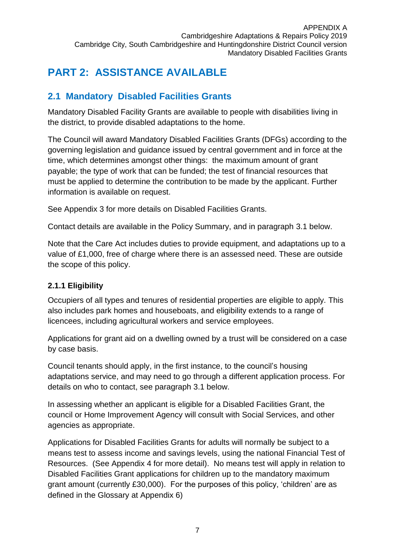## <span id="page-7-0"></span>**PART 2: ASSISTANCE AVAILABLE**

## <span id="page-7-1"></span>**2.1 Mandatory Disabled Facilities Grants**

Mandatory Disabled Facility Grants are available to people with disabilities living in the district, to provide disabled adaptations to the home.

The Council will award Mandatory Disabled Facilities Grants (DFGs) according to the governing legislation and guidance issued by central government and in force at the time, which determines amongst other things: the maximum amount of grant payable; the type of work that can be funded; the test of financial resources that must be applied to determine the contribution to be made by the applicant. Further information is available on request.

See Appendix 3 for more details on Disabled Facilities Grants.

Contact details are available in the Policy Summary, and in paragraph 3.1 below.

Note that the Care Act includes duties to provide equipment, and adaptations up to a value of £1,000, free of charge where there is an assessed need. These are outside the scope of this policy.

### <span id="page-7-2"></span>**2.1.1 Eligibility**

Occupiers of all types and tenures of residential properties are eligible to apply. This also includes park homes and houseboats, and eligibility extends to a range of licencees, including agricultural workers and service employees.

Applications for grant aid on a dwelling owned by a trust will be considered on a case by case basis.

Council tenants should apply, in the first instance, to the council's housing adaptations service, and may need to go through a different application process. For details on who to contact, see paragraph 3.1 below.

In assessing whether an applicant is eligible for a Disabled Facilities Grant, the council or Home Improvement Agency will consult with Social Services, and other agencies as appropriate.

Applications for Disabled Facilities Grants for adults will normally be subject to a means test to assess income and savings levels, using the national Financial Test of Resources. (See Appendix 4 for more detail). No means test will apply in relation to Disabled Facilities Grant applications for children up to the mandatory maximum grant amount (currently £30,000). For the purposes of this policy, 'children' are as defined in the Glossary at Appendix 6)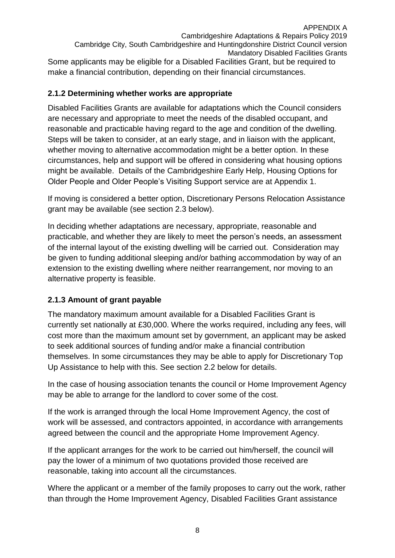APPENDIX A Cambridgeshire Adaptations & Repairs Policy 2019 Cambridge City, South Cambridgeshire and Huntingdonshire District Council version Mandatory Disabled Facilities Grants Some applicants may be eligible for a Disabled Facilities Grant, but be required to make a financial contribution, depending on their financial circumstances.

#### <span id="page-8-0"></span>**2.1.2 Determining whether works are appropriate**

Disabled Facilities Grants are available for adaptations which the Council considers are necessary and appropriate to meet the needs of the disabled occupant, and reasonable and practicable having regard to the age and condition of the dwelling. Steps will be taken to consider, at an early stage, and in liaison with the applicant, whether moving to alternative accommodation might be a better option. In these circumstances, help and support will be offered in considering what housing options might be available. Details of the Cambridgeshire Early Help, Housing Options for Older People and Older People's Visiting Support service are at Appendix 1.

If moving is considered a better option, Discretionary Persons Relocation Assistance grant may be available (see section 2.3 below).

In deciding whether adaptations are necessary, appropriate, reasonable and practicable, and whether they are likely to meet the person's needs, an assessment of the internal layout of the existing dwelling will be carried out. Consideration may be given to funding additional sleeping and/or bathing accommodation by way of an extension to the existing dwelling where neither rearrangement, nor moving to an alternative property is feasible.

### <span id="page-8-1"></span>**2.1.3 Amount of grant payable**

The mandatory maximum amount available for a Disabled Facilities Grant is currently set nationally at £30,000. Where the works required, including any fees, will cost more than the maximum amount set by government, an applicant may be asked to seek additional sources of funding and/or make a financial contribution themselves. In some circumstances they may be able to apply for Discretionary Top Up Assistance to help with this. See section 2.2 below for details.

In the case of housing association tenants the council or Home Improvement Agency may be able to arrange for the landlord to cover some of the cost.

If the work is arranged through the local Home Improvement Agency, the cost of work will be assessed, and contractors appointed, in accordance with arrangements agreed between the council and the appropriate Home Improvement Agency.

If the applicant arranges for the work to be carried out him/herself, the council will pay the lower of a minimum of two quotations provided those received are reasonable, taking into account all the circumstances.

Where the applicant or a member of the family proposes to carry out the work, rather than through the Home Improvement Agency, Disabled Facilities Grant assistance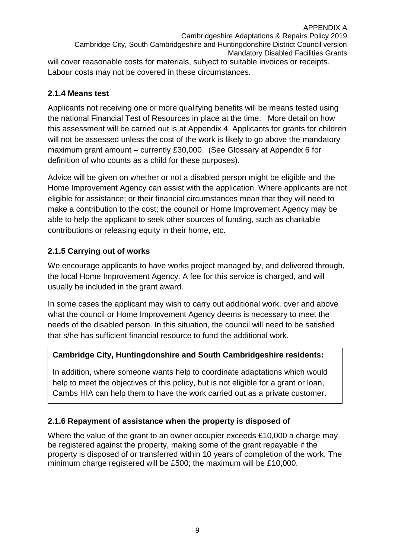APPENDIX A Cambridgeshire Adaptations & Repairs Policy 2019 Cambridge City, South Cambridgeshire and Huntingdonshire District Council version Mandatory Disabled Facilities Grants will cover reasonable costs for materials, subject to suitable invoices or receipts. Labour costs may not be covered in these circumstances.

### <span id="page-9-0"></span>**2.1.4 Means test**

Applicants not receiving one or more qualifying benefits will be means tested using the national Financial Test of Resources in place at the time. More detail on how this assessment will be carried out is at Appendix 4. Applicants for grants for children will not be assessed unless the cost of the work is likely to go above the mandatory maximum grant amount – currently £30,000. (See Glossary at Appendix 6 for definition of who counts as a child for these purposes).

Advice will be given on whether or not a disabled person might be eligible and the Home Improvement Agency can assist with the application. Where applicants are not eligible for assistance; or their financial circumstances mean that they will need to make a contribution to the cost; the council or Home Improvement Agency may be able to help the applicant to seek other sources of funding, such as charitable contributions or releasing equity in their home, etc.

### <span id="page-9-1"></span>**2.1.5 Carrying out of works**

We encourage applicants to have works project managed by, and delivered through, the local Home Improvement Agency. A fee for this service is charged, and will usually be included in the grant award.

In some cases the applicant may wish to carry out additional work, over and above what the council or Home Improvement Agency deems is necessary to meet the needs of the disabled person. In this situation, the council will need to be satisfied that s/he has sufficient financial resource to fund the additional work.

### **Cambridge City, Huntingdonshire and South Cambridgeshire residents:**

In addition, where someone wants help to coordinate adaptations which would help to meet the objectives of this policy, but is not eligible for a grant or loan, Cambs HIA can help them to have the work carried out as a private customer.

### <span id="page-9-2"></span>**2.1.6 Repayment of assistance when the property is disposed of**

Where the value of the grant to an owner occupier exceeds £10,000 a charge may be registered against the property, making some of the grant repayable if the property is disposed of or transferred within 10 years of completion of the work. The minimum charge registered will be £500; the maximum will be £10,000.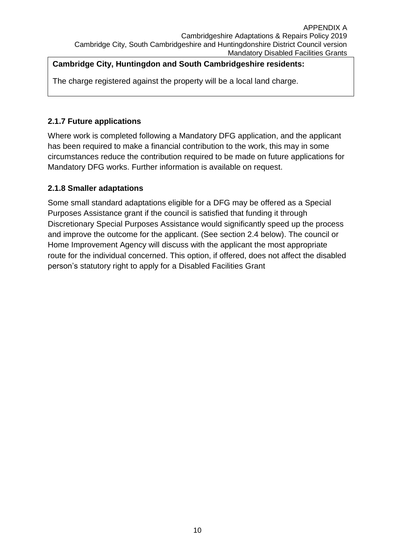### **Cambridge City, Huntingdon and South Cambridgeshire residents:**

The charge registered against the property will be a local land charge.

### <span id="page-10-0"></span>**2.1.7 Future applications**

Where work is completed following a Mandatory DFG application, and the applicant has been required to make a financial contribution to the work, this may in some circumstances reduce the contribution required to be made on future applications for Mandatory DFG works. Further information is available on request.

### <span id="page-10-1"></span>**2.1.8 Smaller adaptations**

Some small standard adaptations eligible for a DFG may be offered as a Special Purposes Assistance grant if the council is satisfied that funding it through Discretionary Special Purposes Assistance would significantly speed up the process and improve the outcome for the applicant. (See section 2.4 below). The council or Home Improvement Agency will discuss with the applicant the most appropriate route for the individual concerned. This option, if offered, does not affect the disabled person's statutory right to apply for a Disabled Facilities Grant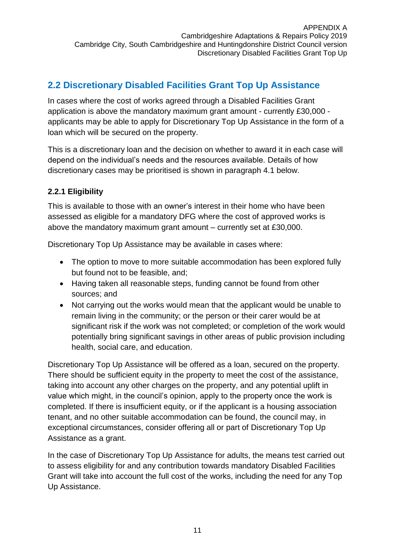## <span id="page-11-0"></span>**2.2 Discretionary Disabled Facilities Grant Top Up Assistance**

In cases where the cost of works agreed through a Disabled Facilities Grant application is above the mandatory maximum grant amount - currently £30,000 applicants may be able to apply for Discretionary Top Up Assistance in the form of a loan which will be secured on the property.

This is a discretionary loan and the decision on whether to award it in each case will depend on the individual's needs and the resources available. Details of how discretionary cases may be prioritised is shown in paragraph 4.1 below.

### <span id="page-11-1"></span>**2.2.1 Eligibility**

This is available to those with an owner's interest in their home who have been assessed as eligible for a mandatory DFG where the cost of approved works is above the mandatory maximum grant amount – currently set at £30,000.

Discretionary Top Up Assistance may be available in cases where:

- The option to move to more suitable accommodation has been explored fully but found not to be feasible, and;
- Having taken all reasonable steps, funding cannot be found from other sources; and
- Not carrying out the works would mean that the applicant would be unable to remain living in the community; or the person or their carer would be at significant risk if the work was not completed; or completion of the work would potentially bring significant savings in other areas of public provision including health, social care, and education.

Discretionary Top Up Assistance will be offered as a loan, secured on the property. There should be sufficient equity in the property to meet the cost of the assistance, taking into account any other charges on the property, and any potential uplift in value which might, in the council's opinion, apply to the property once the work is completed. If there is insufficient equity, or if the applicant is a housing association tenant, and no other suitable accommodation can be found, the council may, in exceptional circumstances, consider offering all or part of Discretionary Top Up Assistance as a grant.

In the case of Discretionary Top Up Assistance for adults, the means test carried out to assess eligibility for and any contribution towards mandatory Disabled Facilities Grant will take into account the full cost of the works, including the need for any Top Up Assistance.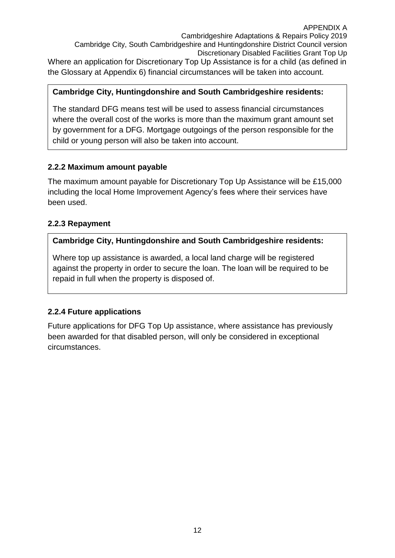Cambridgeshire Adaptations & Repairs Policy 2019 Cambridge City, South Cambridgeshire and Huntingdonshire District Council version Discretionary Disabled Facilities Grant Top Up

Where an application for Discretionary Top Up Assistance is for a child (as defined in the Glossary at Appendix 6) financial circumstances will be taken into account.

#### **Cambridge City, Huntingdonshire and South Cambridgeshire residents:**

The standard DFG means test will be used to assess financial circumstances where the overall cost of the works is more than the maximum grant amount set by government for a DFG. Mortgage outgoings of the person responsible for the child or young person will also be taken into account.

### <span id="page-12-0"></span>**2.2.2 Maximum amount payable**

The maximum amount payable for Discretionary Top Up Assistance will be £15,000 including the local Home Improvement Agency's fees where their services have been used.

### <span id="page-12-1"></span>**2.2.3 Repayment**

#### **Cambridge City, Huntingdonshire and South Cambridgeshire residents:**

Where top up assistance is awarded, a local land charge will be registered against the property in order to secure the loan. The loan will be required to be repaid in full when the property is disposed of.

### <span id="page-12-2"></span>**2.2.4 Future applications**

Future applications for DFG Top Up assistance, where assistance has previously been awarded for that disabled person, will only be considered in exceptional circumstances.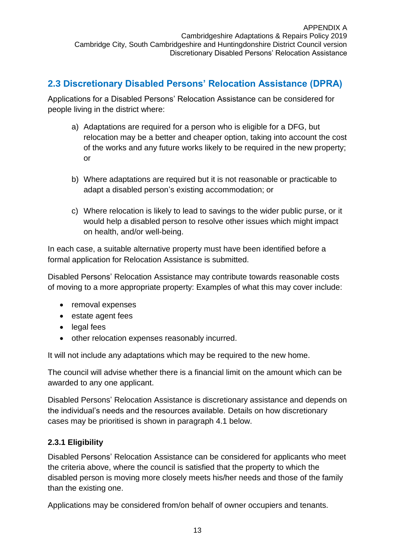### <span id="page-13-0"></span>**2.3 Discretionary Disabled Persons' Relocation Assistance (DPRA)**

Applications for a Disabled Persons' Relocation Assistance can be considered for people living in the district where:

- a) Adaptations are required for a person who is eligible for a DFG, but relocation may be a better and cheaper option, taking into account the cost of the works and any future works likely to be required in the new property; or
- b) Where adaptations are required but it is not reasonable or practicable to adapt a disabled person's existing accommodation; or
- c) Where relocation is likely to lead to savings to the wider public purse, or it would help a disabled person to resolve other issues which might impact on health, and/or well-being.

In each case, a suitable alternative property must have been identified before a formal application for Relocation Assistance is submitted.

Disabled Persons' Relocation Assistance may contribute towards reasonable costs of moving to a more appropriate property: Examples of what this may cover include:

- removal expenses
- estate agent fees
- legal fees
- other relocation expenses reasonably incurred.

It will not include any adaptations which may be required to the new home.

The council will advise whether there is a financial limit on the amount which can be awarded to any one applicant.

Disabled Persons' Relocation Assistance is discretionary assistance and depends on the individual's needs and the resources available. Details on how discretionary cases may be prioritised is shown in paragraph 4.1 below.

### <span id="page-13-1"></span>**2.3.1 Eligibility**

Disabled Persons' Relocation Assistance can be considered for applicants who meet the criteria above, where the council is satisfied that the property to which the disabled person is moving more closely meets his/her needs and those of the family than the existing one.

Applications may be considered from/on behalf of owner occupiers and tenants.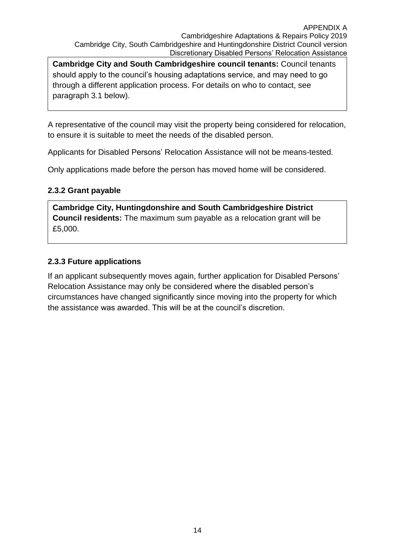**Cambridge City and South Cambridgeshire council tenants:** Council tenants should apply to the council's housing adaptations service, and may need to go through a different application process. For details on who to contact, see paragraph 3.1 below).

A representative of the council may visit the property being considered for relocation, to ensure it is suitable to meet the needs of the disabled person.

Applicants for Disabled Persons' Relocation Assistance will not be means-tested.

Only applications made before the person has moved home will be considered.

#### <span id="page-14-0"></span>**2.3.2 Grant payable**

**Cambridge City, Huntingdonshire and South Cambridgeshire District Council residents:** The maximum sum payable as a relocation grant will be £5,000.

### <span id="page-14-1"></span>**2.3.3 Future applications**

If an applicant subsequently moves again, further application for Disabled Persons' Relocation Assistance may only be considered where the disabled person's circumstances have changed significantly since moving into the property for which the assistance was awarded. This will be at the council's discretion.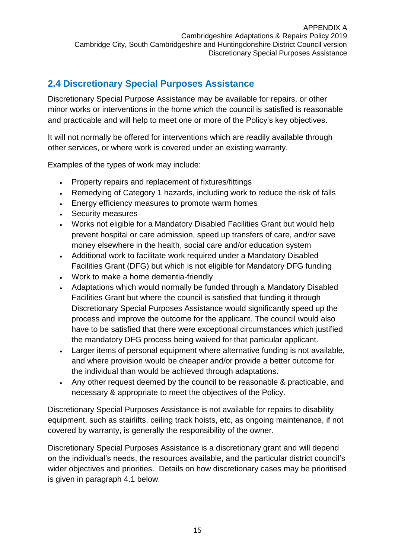## <span id="page-15-0"></span>**2.4 Discretionary Special Purposes Assistance**

Discretionary Special Purpose Assistance may be available for repairs, or other minor works or interventions in the home which the council is satisfied is reasonable and practicable and will help to meet one or more of the Policy's key objectives.

It will not normally be offered for interventions which are readily available through other services, or where work is covered under an existing warranty.

Examples of the types of work may include:

- Property repairs and replacement of fixtures/fittings
- Remedying of Category 1 hazards, including work to reduce the risk of falls
- **Energy efficiency measures to promote warm homes**
- Security measures
- Works not eligible for a Mandatory Disabled Facilities Grant but would help prevent hospital or care admission, speed up transfers of care, and/or save money elsewhere in the health, social care and/or education system
- Additional work to facilitate work required under a Mandatory Disabled Facilities Grant (DFG) but which is not eligible for Mandatory DFG funding
- Work to make a home dementia-friendly
- Adaptations which would normally be funded through a Mandatory Disabled Facilities Grant but where the council is satisfied that funding it through Discretionary Special Purposes Assistance would significantly speed up the process and improve the outcome for the applicant. The council would also have to be satisfied that there were exceptional circumstances which justified the mandatory DFG process being waived for that particular applicant.
- Larger items of personal equipment where alternative funding is not available, and where provision would be cheaper and/or provide a better outcome for the individual than would be achieved through adaptations.
- Any other request deemed by the council to be reasonable & practicable, and necessary & appropriate to meet the objectives of the Policy.

Discretionary Special Purposes Assistance is not available for repairs to disability equipment, such as stairlifts, ceiling track hoists, etc, as ongoing maintenance, if not covered by warranty, is generally the responsibility of the owner.

Discretionary Special Purposes Assistance is a discretionary grant and will depend on the individual's needs, the resources available, and the particular district council's wider objectives and priorities. Details on how discretionary cases may be prioritised is given in paragraph 4.1 below.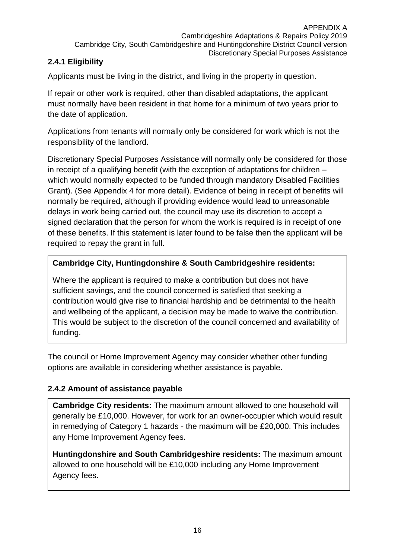### <span id="page-16-0"></span>**2.4.1 Eligibility**

Applicants must be living in the district, and living in the property in question.

If repair or other work is required, other than disabled adaptations, the applicant must normally have been resident in that home for a minimum of two years prior to the date of application.

Applications from tenants will normally only be considered for work which is not the responsibility of the landlord.

Discretionary Special Purposes Assistance will normally only be considered for those in receipt of a qualifying benefit (with the exception of adaptations for children – which would normally expected to be funded through mandatory Disabled Facilities Grant). (See Appendix 4 for more detail). Evidence of being in receipt of benefits will normally be required, although if providing evidence would lead to unreasonable delays in work being carried out, the council may use its discretion to accept a signed declaration that the person for whom the work is required is in receipt of one of these benefits. If this statement is later found to be false then the applicant will be required to repay the grant in full.

### **Cambridge City, Huntingdonshire & South Cambridgeshire residents:**

Where the applicant is required to make a contribution but does not have sufficient savings, and the council concerned is satisfied that seeking a contribution would give rise to financial hardship and be detrimental to the health and wellbeing of the applicant, a decision may be made to waive the contribution. This would be subject to the discretion of the council concerned and availability of funding.

The council or Home Improvement Agency may consider whether other funding options are available in considering whether assistance is payable.

### <span id="page-16-1"></span>**2.4.2 Amount of assistance payable**

**Cambridge City residents:** The maximum amount allowed to one household will generally be £10,000. However, for work for an owner-occupier which would result in remedying of Category 1 hazards - the maximum will be £20,000. This includes any Home Improvement Agency fees.

**Huntingdonshire and South Cambridgeshire residents:** The maximum amount allowed to one household will be £10,000 including any Home Improvement Agency fees.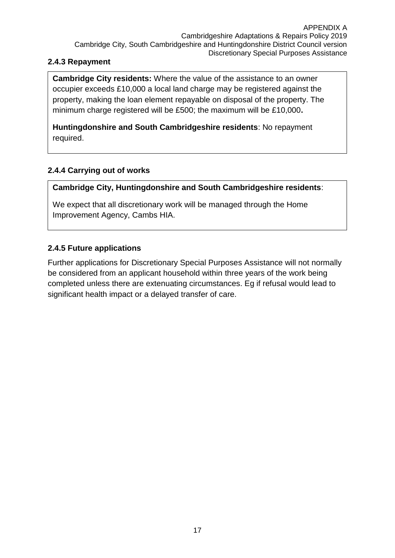### <span id="page-17-0"></span>**2.4.3 Repayment**

**Cambridge City residents:** Where the value of the assistance to an owner occupier exceeds £10,000 a local land charge may be registered against the property, making the loan element repayable on disposal of the property. The minimum charge registered will be £500; the maximum will be £10,000**.**

**Huntingdonshire and South Cambridgeshire residents**: No repayment required.

### **2.4.4 Carrying out of works**

**Cambridge City, Huntingdonshire and South Cambridgeshire residents**:

We expect that all discretionary work will be managed through the Home Improvement Agency, Cambs HIA.

### <span id="page-17-1"></span>**2.4.5 Future applications**

Further applications for Discretionary Special Purposes Assistance will not normally be considered from an applicant household within three years of the work being completed unless there are extenuating circumstances. Eg if refusal would lead to significant health impact or a delayed transfer of care.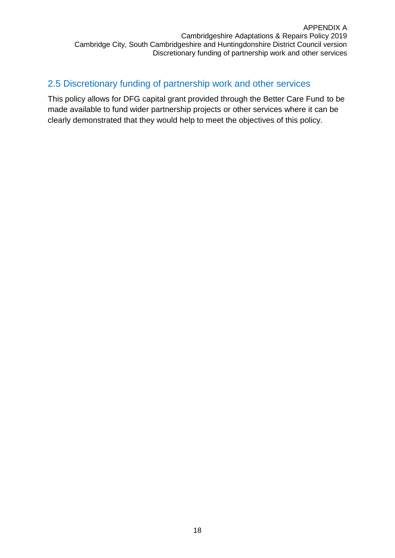### <span id="page-18-0"></span>2.5 Discretionary funding of partnership work and other services

This policy allows for DFG capital grant provided through the Better Care Fund to be made available to fund wider partnership projects or other services where it can be clearly demonstrated that they would help to meet the objectives of this policy.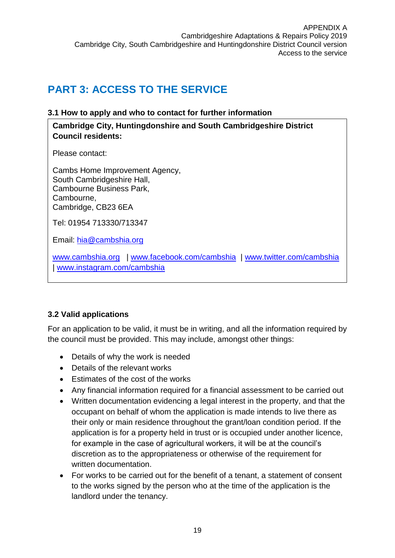## <span id="page-19-0"></span>**PART 3: ACCESS TO THE SERVICE**

#### <span id="page-19-1"></span>**3.1 How to apply and who to contact for further information**

**Cambridge City, Huntingdonshire and South Cambridgeshire District Council residents:**

Please contact:

Cambs Home Improvement Agency, South Cambridgeshire Hall, Cambourne Business Park, Cambourne, Cambridge, CB23 6EA

Tel: 01954 713330/713347

Email: [hia@cambshia.org](mailto:hia@cambshia.org)

[www.cambshia.org](http://www.cambshia.org/) | [www.facebook.com/cambshia](http://www.facebook.com/cambshia) | [www.twitter.com/cambshia](http://www.twitter.com/cambshia) | [www.instagram.com/cambshia](http://www.instagram.com/cambshia) 

### <span id="page-19-2"></span>**3.2 Valid applications**

For an application to be valid, it must be in writing, and all the information required by the council must be provided. This may include, amongst other things:

- Details of why the work is needed
- Details of the relevant works
- **Estimates of the cost of the works**
- Any financial information required for a financial assessment to be carried out
- Written documentation evidencing a legal interest in the property, and that the occupant on behalf of whom the application is made intends to live there as their only or main residence throughout the grant/loan condition period. If the application is for a property held in trust or is occupied under another licence, for example in the case of agricultural workers, it will be at the council's discretion as to the appropriateness or otherwise of the requirement for written documentation.
- For works to be carried out for the benefit of a tenant, a statement of consent to the works signed by the person who at the time of the application is the landlord under the tenancy.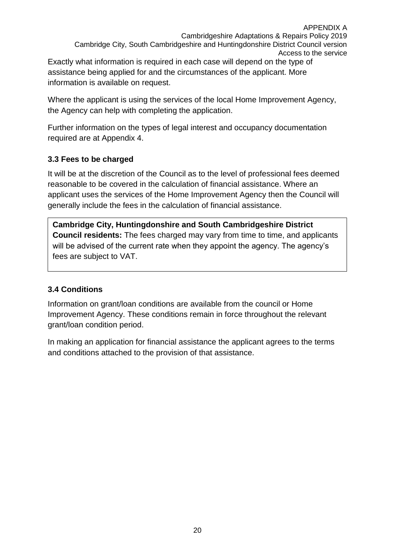APPENDIX A Cambridgeshire Adaptations & Repairs Policy 2019 Cambridge City, South Cambridgeshire and Huntingdonshire District Council version Access to the service Exactly what information is required in each case will depend on the type of assistance being applied for and the circumstances of the applicant. More

information is available on request.

Where the applicant is using the services of the local Home Improvement Agency, the Agency can help with completing the application.

Further information on the types of legal interest and occupancy documentation required are at Appendix 4.

### <span id="page-20-0"></span>**3.3 Fees to be charged**

It will be at the discretion of the Council as to the level of professional fees deemed reasonable to be covered in the calculation of financial assistance. Where an applicant uses the services of the Home Improvement Agency then the Council will generally include the fees in the calculation of financial assistance.

**Cambridge City, Huntingdonshire and South Cambridgeshire District Council residents:** The fees charged may vary from time to time, and applicants will be advised of the current rate when they appoint the agency. The agency's fees are subject to VAT.

### <span id="page-20-1"></span>**3.4 Conditions**

Information on grant/loan conditions are available from the council or Home Improvement Agency. These conditions remain in force throughout the relevant grant/loan condition period.

In making an application for financial assistance the applicant agrees to the terms and conditions attached to the provision of that assistance.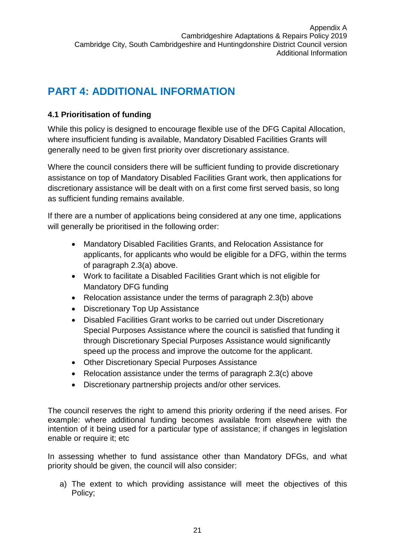## <span id="page-21-0"></span>**PART 4: ADDITIONAL INFORMATION**

### <span id="page-21-1"></span>**4.1 Prioritisation of funding**

While this policy is designed to encourage flexible use of the DFG Capital Allocation, where insufficient funding is available, Mandatory Disabled Facilities Grants will generally need to be given first priority over discretionary assistance.

Where the council considers there will be sufficient funding to provide discretionary assistance on top of Mandatory Disabled Facilities Grant work, then applications for discretionary assistance will be dealt with on a first come first served basis, so long as sufficient funding remains available.

If there are a number of applications being considered at any one time, applications will generally be prioritised in the following order:

- Mandatory Disabled Facilities Grants, and Relocation Assistance for applicants, for applicants who would be eligible for a DFG, within the terms of paragraph 2.3(a) above.
- Work to facilitate a Disabled Facilities Grant which is not eligible for Mandatory DFG funding
- Relocation assistance under the terms of paragraph 2.3(b) above
- Discretionary Top Up Assistance
- Disabled Facilities Grant works to be carried out under Discretionary Special Purposes Assistance where the council is satisfied that funding it through Discretionary Special Purposes Assistance would significantly speed up the process and improve the outcome for the applicant.
- Other Discretionary Special Purposes Assistance
- Relocation assistance under the terms of paragraph 2.3(c) above
- Discretionary partnership projects and/or other services.

The council reserves the right to amend this priority ordering if the need arises. For example: where additional funding becomes available from elsewhere with the intention of it being used for a particular type of assistance; if changes in legislation enable or require it; etc

In assessing whether to fund assistance other than Mandatory DFGs, and what priority should be given, the council will also consider:

a) The extent to which providing assistance will meet the objectives of this Policy;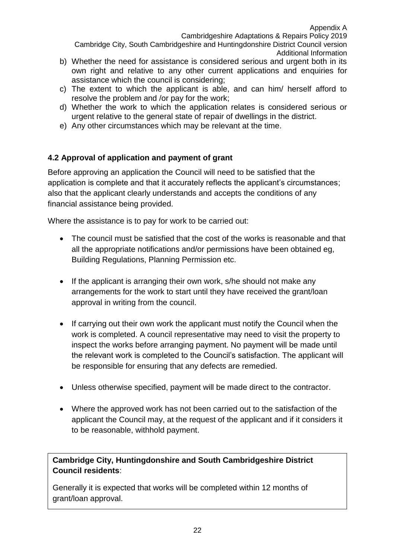Cambridgeshire Adaptations & Repairs Policy 2019

Cambridge City, South Cambridgeshire and Huntingdonshire District Council version Additional Information

- b) Whether the need for assistance is considered serious and urgent both in its own right and relative to any other current applications and enquiries for assistance which the council is considering;
- c) The extent to which the applicant is able, and can him/ herself afford to resolve the problem and /or pay for the work;
- d) Whether the work to which the application relates is considered serious or urgent relative to the general state of repair of dwellings in the district.
- e) Any other circumstances which may be relevant at the time.

### <span id="page-22-0"></span>**4.2 Approval of application and payment of grant**

Before approving an application the Council will need to be satisfied that the application is complete and that it accurately reflects the applicant's circumstances; also that the applicant clearly understands and accepts the conditions of any financial assistance being provided.

Where the assistance is to pay for work to be carried out:

- The council must be satisfied that the cost of the works is reasonable and that all the appropriate notifications and/or permissions have been obtained eg, Building Regulations, Planning Permission etc.
- If the applicant is arranging their own work, s/he should not make any arrangements for the work to start until they have received the grant/loan approval in writing from the council.
- If carrying out their own work the applicant must notify the Council when the work is completed. A council representative may need to visit the property to inspect the works before arranging payment. No payment will be made until the relevant work is completed to the Council's satisfaction. The applicant will be responsible for ensuring that any defects are remedied.
- Unless otherwise specified, payment will be made direct to the contractor.
- Where the approved work has not been carried out to the satisfaction of the applicant the Council may, at the request of the applicant and if it considers it to be reasonable, withhold payment.

**Cambridge City, Huntingdonshire and South Cambridgeshire District Council residents**:

Generally it is expected that works will be completed within 12 months of grant/loan approval.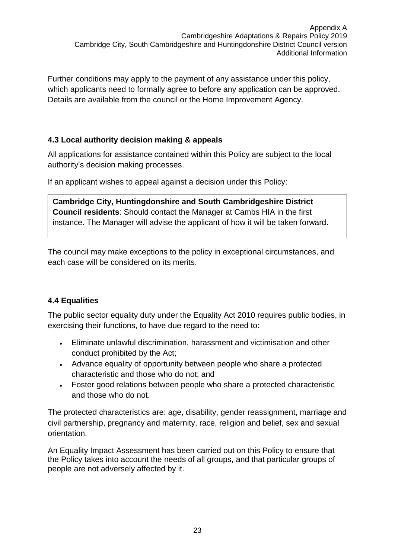Further conditions may apply to the payment of any assistance under this policy, which applicants need to formally agree to before any application can be approved. Details are available from the council or the Home Improvement Agency.

### <span id="page-23-0"></span>**4.3 Local authority decision making & appeals**

All applications for assistance contained within this Policy are subject to the local authority's decision making processes.

If an applicant wishes to appeal against a decision under this Policy:

**Cambridge City, Huntingdonshire and South Cambridgeshire District Council residents**: Should contact the Manager at Cambs HIA in the first instance. The Manager will advise the applicant of how it will be taken forward.

The council may make exceptions to the policy in exceptional circumstances, and each case will be considered on its merits.

### <span id="page-23-1"></span>**4.4 Equalities**

The public sector equality duty under the Equality Act 2010 requires public bodies, in exercising their functions, to have due regard to the need to:

- Eliminate unlawful discrimination, harassment and victimisation and other conduct prohibited by the Act;
- Advance equality of opportunity between people who share a protected characteristic and those who do not; and
- Foster good relations between people who share a protected characteristic and those who do not.

The protected characteristics are: age, disability, gender reassignment, marriage and civil partnership, pregnancy and maternity, race, religion and belief, sex and sexual orientation.

An Equality Impact Assessment has been carried out on this Policy to ensure that the Policy takes into account the needs of all groups, and that particular groups of people are not adversely affected by it.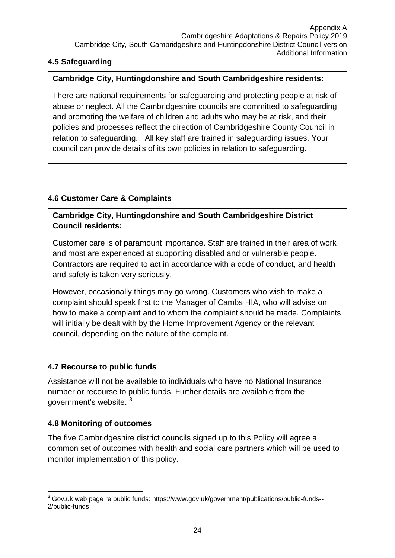### <span id="page-24-0"></span>**4.5 Safeguarding**

### **Cambridge City, Huntingdonshire and South Cambridgeshire residents:**

There are national requirements for safeguarding and protecting people at risk of abuse or neglect. All the Cambridgeshire councils are committed to safeguarding and promoting the welfare of children and adults who may be at risk, and their policies and processes reflect the direction of Cambridgeshire County Council in relation to safeguarding. All key staff are trained in safeguarding issues. Your council can provide details of its own policies in relation to safeguarding.

### <span id="page-24-1"></span>**4.6 Customer Care & Complaints**

### **Cambridge City, Huntingdonshire and South Cambridgeshire District Council residents:**

Customer care is of paramount importance. Staff are trained in their area of work and most are experienced at supporting disabled and or vulnerable people. Contractors are required to act in accordance with a code of conduct, and health and safety is taken very seriously.

However, occasionally things may go wrong. Customers who wish to make a complaint should speak first to the Manager of Cambs HIA, who will advise on how to make a complaint and to whom the complaint should be made. Complaints will initially be dealt with by the Home Improvement Agency or the relevant council, depending on the nature of the complaint.

### <span id="page-24-2"></span>**4.7 Recourse to public funds**

Assistance will not be available to individuals who have no National Insurance number or recourse to public funds. Further details are available from the government's website. <sup>3</sup>

### <span id="page-24-3"></span>**4.8 Monitoring of outcomes**

The five Cambridgeshire district councils signed up to this Policy will agree a common set of outcomes with health and social care partners which will be used to monitor implementation of this policy.

<sup>-</sup> $3$  Gov.uk web page re public funds: https://www.gov.uk/government/publications/public-funds--2/public-funds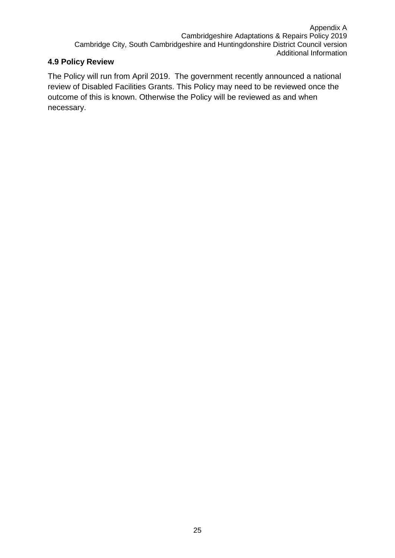### <span id="page-25-0"></span>**4.9 Policy Review**

The Policy will run from April 2019. The government recently announced a national review of Disabled Facilities Grants. This Policy may need to be reviewed once the outcome of this is known. Otherwise the Policy will be reviewed as and when necessary.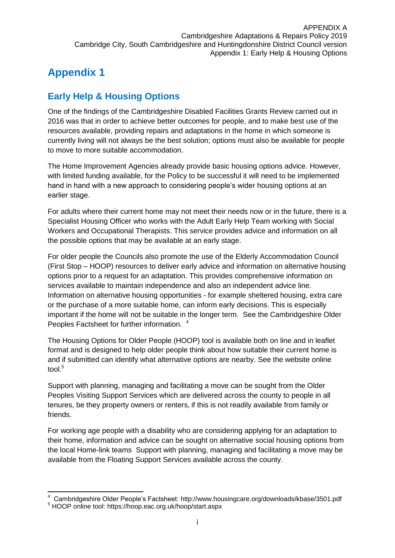## <span id="page-26-0"></span>**Appendix 1**

## <span id="page-26-1"></span>**Early Help & Housing Options**

One of the findings of the Cambridgeshire Disabled Facilities Grants Review carried out in 2016 was that in order to achieve better outcomes for people, and to make best use of the resources available, providing repairs and adaptations in the home in which someone is currently living will not always be the best solution; options must also be available for people to move to more suitable accommodation.

The Home Improvement Agencies already provide basic housing options advice. However, with limited funding available, for the Policy to be successful it will need to be implemented hand in hand with a new approach to considering people's wider housing options at an earlier stage.

For adults where their current home may not meet their needs now or in the future, there is a Specialist Housing Officer who works with the Adult Early Help Team working with Social Workers and Occupational Therapists. This service provides advice and information on all the possible options that may be available at an early stage.

For older people the Councils also promote the use of the Elderly Accommodation Council (First Stop – HOOP) resources to deliver early advice and information on alternative housing options prior to a request for an adaptation. This provides comprehensive information on services available to maintain independence and also an independent advice line. Information on alternative housing opportunities - for example sheltered housing, extra care or the purchase of a more suitable home, can inform early decisions. This is especially important if the home will not be suitable in the longer term. See the Cambridgeshire Older Peoples Factsheet for further information. <sup>4</sup>

The Housing Options for Older People (HOOP) tool is available both on line and in leaflet format and is designed to help older people think about how suitable their current home is and if submitted can identify what alternative options are nearby. See the website online tool. $5$ 

Support with planning, managing and facilitating a move can be sought from the Older Peoples Visiting Support Services which are delivered across the county to people in all tenures, be they property owners or renters, if this is not readily available from family or friends.

For working age people with a disability who are considering applying for an adaptation to their home, information and advice can be sought on alternative social housing options from the local Home-link teams Support with planning, managing and facilitating a move may be available from the Floating Support Services available across the county.

<sup>-</sup>4 Cambridgeshire Older People's Factsheet: http://www.housingcare.org/downloads/kbase/3501.pdf

<sup>5</sup> HOOP online tool: https://hoop.eac.org.uk/hoop/start.aspx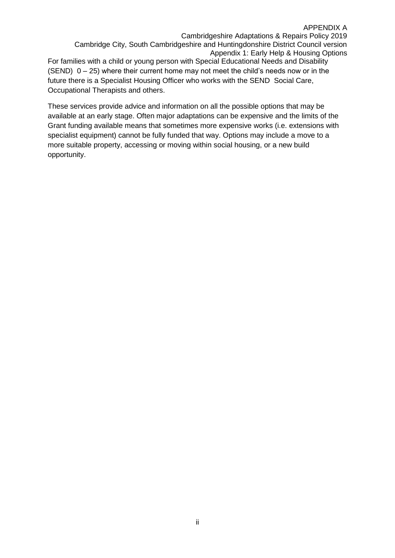Cambridgeshire Adaptations & Repairs Policy 2019 Cambridge City, South Cambridgeshire and Huntingdonshire District Council version Appendix 1: Early Help & Housing Options For families with a child or young person with Special Educational Needs and Disability (SEND)  $0 - 25$ ) where their current home may not meet the child's needs now or in the future there is a Specialist Housing Officer who works with the SEND Social Care, Occupational Therapists and others.

These services provide advice and information on all the possible options that may be available at an early stage. Often major adaptations can be expensive and the limits of the Grant funding available means that sometimes more expensive works (i.e. extensions with specialist equipment) cannot be fully funded that way. Options may include a move to a more suitable property, accessing or moving within social housing, or a new build opportunity.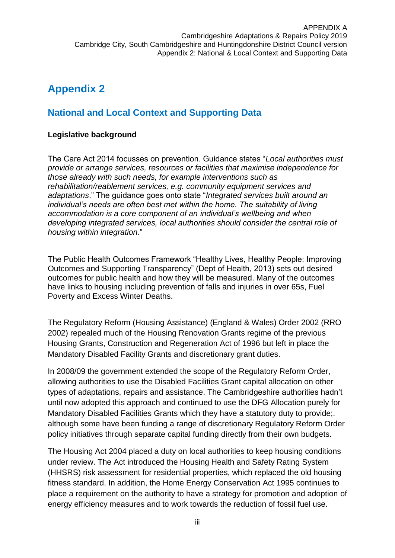## <span id="page-28-0"></span>**Appendix 2**

### <span id="page-28-1"></span>**National and Local Context and Supporting Data**

### <span id="page-28-2"></span>**Legislative background**

The Care Act 2014 focusses on prevention. Guidance states "*Local authorities must provide or arrange services, resources or facilities that maximise independence for those already with such needs, for example interventions such as rehabilitation/reablement services, e.g. community equipment services and adaptations*." The guidance goes onto state "*Integrated services built around an individual's needs are often best met within the home. The suitability of living accommodation is a core component of an individual's wellbeing and when developing integrated services, local authorities should consider the central role of housing within integration*."

The Public Health Outcomes Framework "Healthy Lives, Healthy People: Improving Outcomes and Supporting Transparency" (Dept of Health, 2013) sets out desired outcomes for public health and how they will be measured. Many of the outcomes have links to housing including prevention of falls and injuries in over 65s, Fuel Poverty and Excess Winter Deaths.

The Regulatory Reform (Housing Assistance) (England & Wales) Order 2002 (RRO 2002) repealed much of the Housing Renovation Grants regime of the previous Housing Grants, Construction and Regeneration Act of 1996 but left in place the Mandatory Disabled Facility Grants and discretionary grant duties.

In 2008/09 the government extended the scope of the Regulatory Reform Order, allowing authorities to use the Disabled Facilities Grant capital allocation on other types of adaptations, repairs and assistance. The Cambridgeshire authorities hadn't until now adopted this approach and continued to use the DFG Allocation purely for Mandatory Disabled Facilities Grants which they have a statutory duty to provide;. although some have been funding a range of discretionary Regulatory Reform Order policy initiatives through separate capital funding directly from their own budgets.

The Housing Act 2004 placed a duty on local authorities to keep housing conditions under review. The Act introduced the Housing Health and Safety Rating System (HHSRS) risk assessment for residential properties, which replaced the old housing fitness standard. In addition, the Home Energy Conservation Act 1995 continues to place a requirement on the authority to have a strategy for promotion and adoption of energy efficiency measures and to work towards the reduction of fossil fuel use.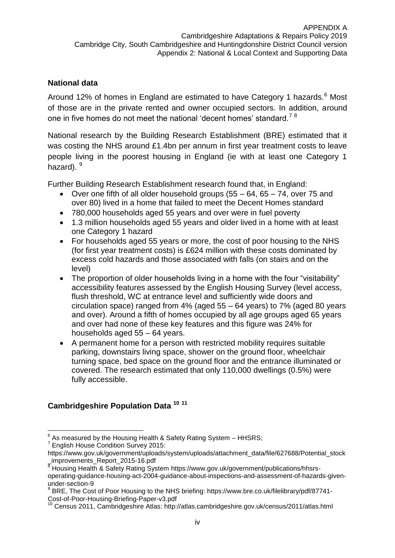### <span id="page-29-0"></span>**National data**

Around 12% of homes in England are estimated to have Category 1 hazards.<sup>6</sup> Most of those are in the private rented and owner occupied sectors. In addition, around one in five homes do not meet the national 'decent homes' standard.<sup>78</sup>

National research by the Building Research Establishment (BRE) estimated that it was costing the NHS around £1.4bn per annum in first year treatment costs to leave people living in the poorest housing in England (ie with at least one Category 1 hazard).  $9^{\circ}$ 

Further Building Research Establishment research found that, in England:

- Over one fifth of all older household groups (55 64, 65 74, over 75 and over 80) lived in a home that failed to meet the Decent Homes standard
- 780,000 households aged 55 years and over were in fuel poverty
- 1.3 million households aged 55 years and older lived in a home with at least one Category 1 hazard
- For households aged 55 years or more, the cost of poor housing to the NHS (for first year treatment costs) is £624 million with these costs dominated by excess cold hazards and those associated with falls (on stairs and on the level)
- The proportion of older households living in a home with the four "visitability" accessibility features assessed by the English Housing Survey (level access, flush threshold, WC at entrance level and sufficiently wide doors and circulation space) ranged from 4% (aged 55 – 64 years) to 7% (aged 80 years and over). Around a fifth of homes occupied by all age groups aged 65 years and over had none of these key features and this figure was 24% for households aged 55 – 64 years.
- A permanent home for a person with restricted mobility requires suitable parking, downstairs living space, shower on the ground floor, wheelchair turning space, bed space on the ground floor and the entrance illuminated or covered. The research estimated that only 110,000 dwellings (0.5%) were fully accessible.

### <span id="page-29-1"></span>**Cambridgeshire Population Data <sup>10</sup> <sup>11</sup>**

<sup>-</sup> $^6$  As measured by the Housing Health & Safety Rating System – HHSRS;

<sup>&</sup>lt;sup>7</sup> English House Condition Survey 2015:

https://www.gov.uk/government/uploads/system/uploads/attachment\_data/file/627688/Potential\_stock \_improvements\_Report\_2015-16.pdf

<sup>&</sup>lt;sup>8</sup> Housing Health & Safety Rating System https://www.gov.uk/government/publications/hhsrsoperating-guidance-housing-act-2004-guidance-about-inspections-and-assessment-of-hazards-givenunder-section-9

<sup>&</sup>lt;sup>9</sup> BRE, The Cost of Poor Housing to the NHS briefing: https://www.bre.co.uk/filelibrary/pdf/87741-Cost-of-Poor-Housing-Briefing-Paper-v3.pdf

<sup>10</sup> Census 2011, Cambridgeshire Atlas: http://atlas.cambridgeshire.gov.uk/census/2011/atlas.html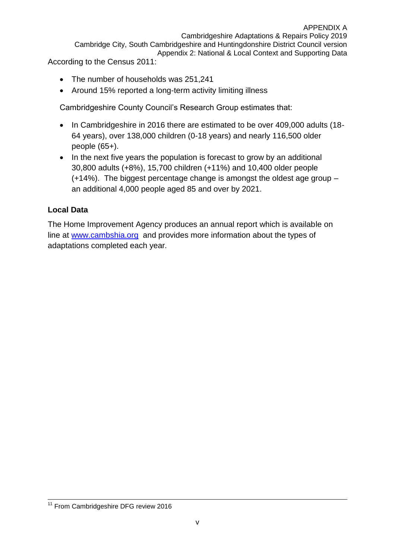- The number of households was 251,241
- Around 15% reported a long-term activity limiting illness

Cambridgeshire County Council's Research Group estimates that:

- In Cambridgeshire in 2016 there are estimated to be over 409,000 adults (18-64 years), over 138,000 children (0-18 years) and nearly 116,500 older people (65+).
- In the next five years the population is forecast to grow by an additional 30,800 adults (+8%), 15,700 children (+11%) and 10,400 older people (+14%). The biggest percentage change is amongst the oldest age group – an additional 4,000 people aged 85 and over by 2021.

### <span id="page-30-0"></span>**Local Data**

The Home Improvement Agency produces an annual report which is available on line at [www.cambshia.org](http://www.cambshia.org/) and provides more information about the types of adaptations completed each year*.*

<sup>-</sup><sup>11</sup> From Cambridgeshire DFG review 2016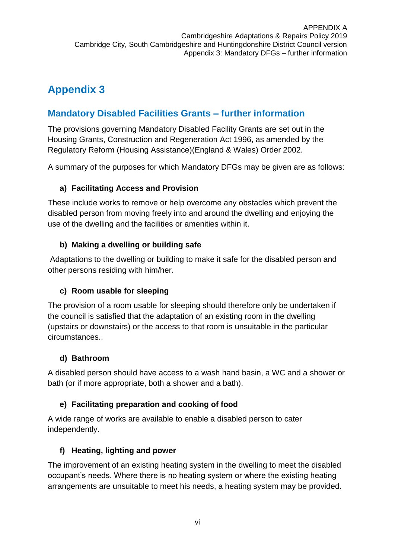## <span id="page-31-0"></span>**Appendix 3**

## <span id="page-31-1"></span>**Mandatory Disabled Facilities Grants – further information**

The provisions governing Mandatory Disabled Facility Grants are set out in the Housing Grants, Construction and Regeneration Act 1996, as amended by the Regulatory Reform (Housing Assistance)(England & Wales) Order 2002.

A summary of the purposes for which Mandatory DFGs may be given are as follows:

### <span id="page-31-2"></span>**a) Facilitating Access and Provision**

These include works to remove or help overcome any obstacles which prevent the disabled person from moving freely into and around the dwelling and enjoying the use of the dwelling and the facilities or amenities within it.

### <span id="page-31-3"></span>**b) Making a dwelling or building safe**

Adaptations to the dwelling or building to make it safe for the disabled person and other persons residing with him/her.

### <span id="page-31-4"></span>**c) Room usable for sleeping**

The provision of a room usable for sleeping should therefore only be undertaken if the council is satisfied that the adaptation of an existing room in the dwelling (upstairs or downstairs) or the access to that room is unsuitable in the particular circumstances..

### <span id="page-31-5"></span>**d) Bathroom**

A disabled person should have access to a wash hand basin, a WC and a shower or bath (or if more appropriate, both a shower and a bath).

### <span id="page-31-6"></span>**e) Facilitating preparation and cooking of food**

A wide range of works are available to enable a disabled person to cater independently.

### <span id="page-31-7"></span>**f) Heating, lighting and power**

The improvement of an existing heating system in the dwelling to meet the disabled occupant's needs. Where there is no heating system or where the existing heating arrangements are unsuitable to meet his needs, a heating system may be provided.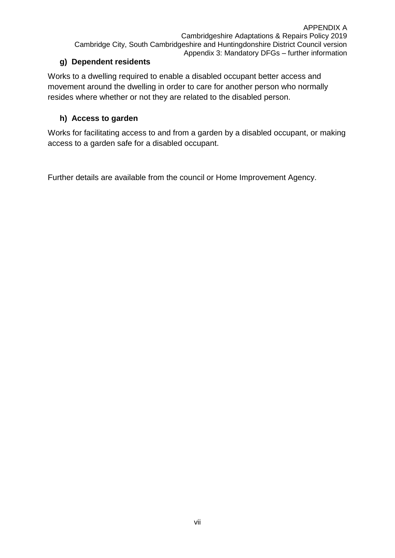### <span id="page-32-0"></span>**g) Dependent residents**

Works to a dwelling required to enable a disabled occupant better access and movement around the dwelling in order to care for another person who normally resides where whether or not they are related to the disabled person.

### <span id="page-32-1"></span>**h) Access to garden**

Works for facilitating access to and from a garden by a disabled occupant, or making access to a garden safe for a disabled occupant.

Further details are available from the council or Home Improvement Agency.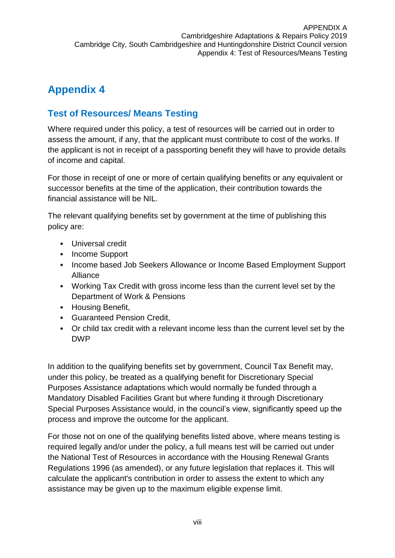## <span id="page-33-0"></span>**Appendix 4**

## <span id="page-33-1"></span>**Test of Resources/ Means Testing**

Where required under this policy, a test of resources will be carried out in order to assess the amount, if any, that the applicant must contribute to cost of the works. If the applicant is not in receipt of a passporting benefit they will have to provide details of income and capital.

For those in receipt of one or more of certain qualifying benefits or any equivalent or successor benefits at the time of the application, their contribution towards the financial assistance will be NIL.

The relevant qualifying benefits set by government at the time of publishing this policy are:

- Universal credit
- Income Support
- Income based Job Seekers Allowance or Income Based Employment Support Alliance
- Working Tax Credit with gross income less than the current level set by the Department of Work & Pensions
- Housing Benefit,
- Guaranteed Pension Credit,
- Or child tax credit with a relevant income less than the current level set by the DWP

In addition to the qualifying benefits set by government, Council Tax Benefit may, under this policy, be treated as a qualifying benefit for Discretionary Special Purposes Assistance adaptations which would normally be funded through a Mandatory Disabled Facilities Grant but where funding it through Discretionary Special Purposes Assistance would, in the council's view, significantly speed up the process and improve the outcome for the applicant.

For those not on one of the qualifying benefits listed above, where means testing is required legally and/or under the policy, a full means test will be carried out under the National Test of Resources in accordance with the Housing Renewal Grants Regulations 1996 (as amended), or any future legislation that replaces it. This will calculate the applicant's contribution in order to assess the extent to which any assistance may be given up to the maximum eligible expense limit.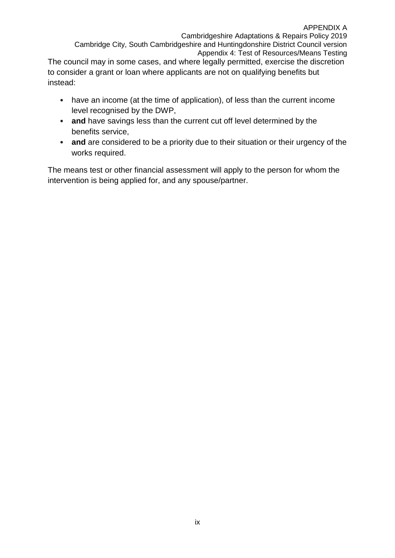Cambridgeshire Adaptations & Repairs Policy 2019 Cambridge City, South Cambridgeshire and Huntingdonshire District Council version Appendix 4: Test of Resources/Means Testing

The council may in some cases, and where legally permitted, exercise the discretion to consider a grant or loan where applicants are not on qualifying benefits but instead:

- have an income (at the time of application), of less than the current income level recognised by the DWP,
- **and** have savings less than the current cut off level determined by the benefits service,
- **and** are considered to be a priority due to their situation or their urgency of the works required.

The means test or other financial assessment will apply to the person for whom the intervention is being applied for, and any spouse/partner.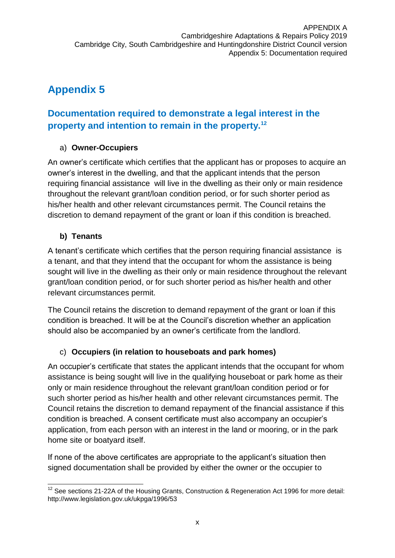## <span id="page-35-0"></span>**Appendix 5**

## <span id="page-35-1"></span>**Documentation required to demonstrate a legal interest in the property and intention to remain in the property.<sup>12</sup>**

### <span id="page-35-2"></span>a) **Owner-Occupiers**

An owner's certificate which certifies that the applicant has or proposes to acquire an owner's interest in the dwelling, and that the applicant intends that the person requiring financial assistance will live in the dwelling as their only or main residence throughout the relevant grant/loan condition period, or for such shorter period as his/her health and other relevant circumstances permit. The Council retains the discretion to demand repayment of the grant or loan if this condition is breached.

### <span id="page-35-3"></span>**b) Tenants**

A tenant's certificate which certifies that the person requiring financial assistance is a tenant, and that they intend that the occupant for whom the assistance is being sought will live in the dwelling as their only or main residence throughout the relevant grant/loan condition period, or for such shorter period as his/her health and other relevant circumstances permit.

The Council retains the discretion to demand repayment of the grant or loan if this condition is breached. It will be at the Council's discretion whether an application should also be accompanied by an owner's certificate from the landlord.

### <span id="page-35-4"></span>c) **Occupiers (in relation to houseboats and park homes)**

An occupier's certificate that states the applicant intends that the occupant for whom assistance is being sought will live in the qualifying houseboat or park home as their only or main residence throughout the relevant grant/loan condition period or for such shorter period as his/her health and other relevant circumstances permit. The Council retains the discretion to demand repayment of the financial assistance if this condition is breached. A consent certificate must also accompany an occupier's application, from each person with an interest in the land or mooring, or in the park home site or boatyard itself.

If none of the above certificates are appropriate to the applicant's situation then signed documentation shall be provided by either the owner or the occupier to

 $\overline{1}$  $12$  See sections 21-22A of the Housing Grants, Construction & Regeneration Act 1996 for more detail: http://www.legislation.gov.uk/ukpga/1996/53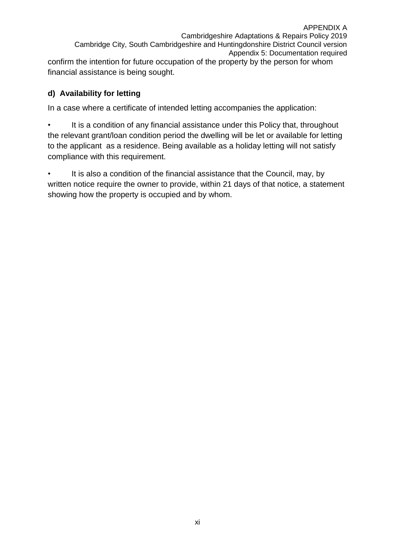APPENDIX A Cambridgeshire Adaptations & Repairs Policy 2019 Cambridge City, South Cambridgeshire and Huntingdonshire District Council version Appendix 5: Documentation required confirm the intention for future occupation of the property by the person for whom financial assistance is being sought.

### <span id="page-36-0"></span>**d) Availability for letting**

In a case where a certificate of intended letting accompanies the application:

• It is a condition of any financial assistance under this Policy that, throughout the relevant grant/loan condition period the dwelling will be let or available for letting to the applicant as a residence. Being available as a holiday letting will not satisfy compliance with this requirement.

It is also a condition of the financial assistance that the Council, may, by written notice require the owner to provide, within 21 days of that notice, a statement showing how the property is occupied and by whom.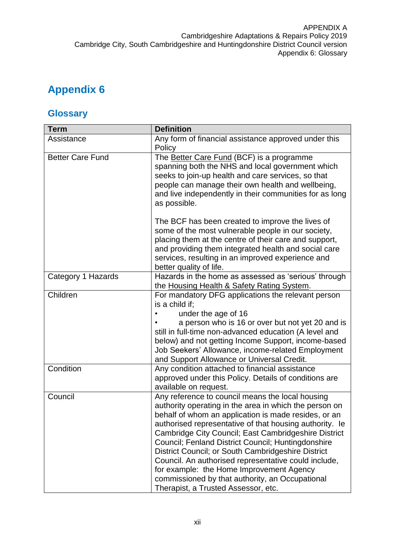## <span id="page-37-0"></span>**Appendix 6**

## <span id="page-37-1"></span>**Glossary**

| <b>Term</b>             | <b>Definition</b>                                                                                                                                                                                                                                                                                                                                                                                                                                                                                                                                                                               |
|-------------------------|-------------------------------------------------------------------------------------------------------------------------------------------------------------------------------------------------------------------------------------------------------------------------------------------------------------------------------------------------------------------------------------------------------------------------------------------------------------------------------------------------------------------------------------------------------------------------------------------------|
| Assistance              | Any form of financial assistance approved under this<br>Policy                                                                                                                                                                                                                                                                                                                                                                                                                                                                                                                                  |
| <b>Better Care Fund</b> | The Better Care Fund (BCF) is a programme<br>spanning both the NHS and local government which<br>seeks to join-up health and care services, so that<br>people can manage their own health and wellbeing,<br>and live independently in their communities for as long<br>as possible.                                                                                                                                                                                                                                                                                                             |
|                         | The BCF has been created to improve the lives of<br>some of the most vulnerable people in our society,<br>placing them at the centre of their care and support,<br>and providing them integrated health and social care<br>services, resulting in an improved experience and<br>better quality of life.                                                                                                                                                                                                                                                                                         |
| Category 1 Hazards      | Hazards in the home as assessed as 'serious' through<br>the Housing Health & Safety Rating System.                                                                                                                                                                                                                                                                                                                                                                                                                                                                                              |
| Children                | For mandatory DFG applications the relevant person<br>is a child if:<br>under the age of 16<br>a person who is 16 or over but not yet 20 and is<br>still in full-time non-advanced education (A level and<br>below) and not getting Income Support, income-based<br>Job Seekers' Allowance, income-related Employment<br>and Support Allowance or Universal Credit.                                                                                                                                                                                                                             |
| Condition               | Any condition attached to financial assistance<br>approved under this Policy. Details of conditions are<br>available on request.                                                                                                                                                                                                                                                                                                                                                                                                                                                                |
| Council                 | Any reference to council means the local housing<br>authority operating in the area in which the person on<br>behalf of whom an application is made resides, or an<br>authorised representative of that housing authority. le<br>Cambridge City Council; East Cambridgeshire District<br>Council; Fenland District Council; Huntingdonshire<br>District Council; or South Cambridgeshire District<br>Council. An authorised representative could include,<br>for example: the Home Improvement Agency<br>commissioned by that authority, an Occupational<br>Therapist, a Trusted Assessor, etc. |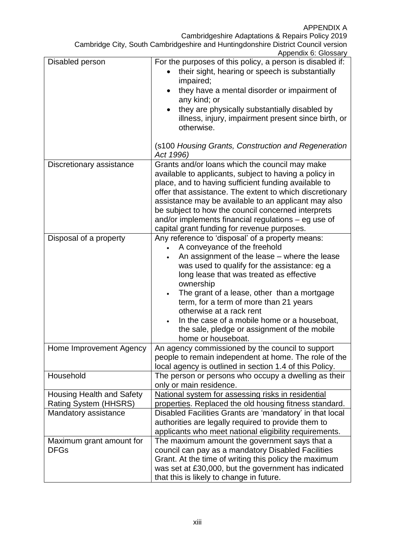Appendix 6: Glossary

|                                  | Apponunce. Oldssary                                       |
|----------------------------------|-----------------------------------------------------------|
| Disabled person                  | For the purposes of this policy, a person is disabled if: |
|                                  | their sight, hearing or speech is substantially           |
|                                  | impaired;                                                 |
|                                  | they have a mental disorder or impairment of              |
|                                  | any kind; or                                              |
|                                  |                                                           |
|                                  | they are physically substantially disabled by             |
|                                  | illness, injury, impairment present since birth, or       |
|                                  | otherwise.                                                |
|                                  |                                                           |
|                                  | (s100 Housing Grants, Construction and Regeneration       |
|                                  | Act 1996)                                                 |
| Discretionary assistance         | Grants and/or loans which the council may make            |
|                                  |                                                           |
|                                  | available to applicants, subject to having a policy in    |
|                                  | place, and to having sufficient funding available to      |
|                                  | offer that assistance. The extent to which discretionary  |
|                                  | assistance may be available to an applicant may also      |
|                                  | be subject to how the council concerned interprets        |
|                                  | and/or implements financial regulations - eg use of       |
|                                  | capital grant funding for revenue purposes.               |
| Disposal of a property           | Any reference to 'disposal' of a property means:          |
|                                  | A conveyance of the freehold                              |
|                                  |                                                           |
|                                  | An assignment of the lease – where the lease              |
|                                  | was used to qualify for the assistance: eg a              |
|                                  | long lease that was treated as effective                  |
|                                  | ownership                                                 |
|                                  | The grant of a lease, other than a mortgage               |
|                                  | term, for a term of more than 21 years                    |
|                                  | otherwise at a rack rent                                  |
|                                  | In the case of a mobile home or a houseboat,              |
|                                  |                                                           |
|                                  | the sale, pledge or assignment of the mobile              |
|                                  | home or houseboat.                                        |
| Home Improvement Agency          | An agency commissioned by the council to support          |
|                                  | people to remain independent at home. The role of the     |
|                                  | local agency is outlined in section 1.4 of this Policy.   |
| Household                        | The person or persons who occupy a dwelling as their      |
|                                  | only or main residence.                                   |
|                                  |                                                           |
| <b>Housing Health and Safety</b> | National system for assessing risks in residential        |
| Rating System (HHSRS)            | properties. Replaced the old housing fitness standard.    |
| Mandatory assistance             | Disabled Facilities Grants are 'mandatory' in that local  |
|                                  | authorities are legally required to provide them to       |
|                                  | applicants who meet national eligibility requirements.    |
| Maximum grant amount for         | The maximum amount the government says that a             |
| <b>DFGs</b>                      | council can pay as a mandatory Disabled Facilities        |
|                                  | Grant. At the time of writing this policy the maximum     |
|                                  |                                                           |
|                                  | was set at £30,000, but the government has indicated      |
|                                  | that this is likely to change in future.                  |